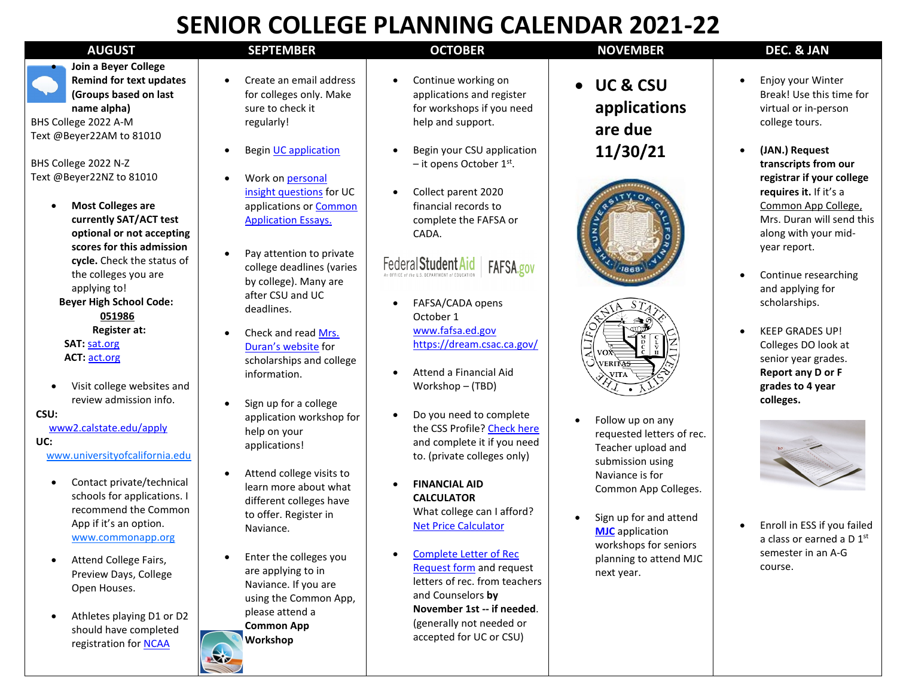## **SENIOR COLLEGE PLANNING CALENDAR 2021-22**

• **Join a Beyer College Remind for text updates (Groups based on last name alpha)**

BHS College 2022 A-M Text @Beyer22AM to 81010

BHS College 2022 N-Z Text @Beyer22NZ to 81010

- **Most Colleges are currently SAT/ACT test optional or not accepting scores for this admission cycle.** Check the status of the colleges you are applying to!  **Beyer High School Code: 051986 Register at: SAT:** [sat.org](https://collegereadiness.collegeboard.org/sat?excmpid=VT-00051)  **ACT:** [act.org](http://www.act.org/content/act/en/products-and-services/the-act.html)
- Visit college websites and review admission info.

 **CSU:** 

[www2.calstate.edu/apply](https://www2.calstate.edu/apply)

 **UC:** 

[www.universityofcalifornia.edu](http://www.universityofcalifornia.edu/)

- Contact private/technical schools for applications. I recommend the Common App if it's an option. [www.commonapp.org](http://www.commonapp.org/)
- Attend College Fairs, Preview Days, College Open Houses.
- Athletes playing D1 or D2 should have completed registration for **NCAA**

Naviance. If you are using the Common App,

please attend a **Common App Workshop**

 $\mathbf{R}$ 

| SENIUN CULLEUE FLANNINU CALENDAN ZUZI-ZZ                                                                 |                                                                                                    |                                                                                                    |                                                                     |                                                                         |
|----------------------------------------------------------------------------------------------------------|----------------------------------------------------------------------------------------------------|----------------------------------------------------------------------------------------------------|---------------------------------------------------------------------|-------------------------------------------------------------------------|
| <b>AUGUST</b>                                                                                            | <b>SEPTEMBER</b>                                                                                   | <b>OCTOBER</b>                                                                                     | <b>NOVEMBER</b>                                                     | DEC. & JAN                                                              |
| a Beyer College<br>nind for text updates<br>oups based on last<br>ne alpha)<br>2022 A-M<br>22AM to 81010 | Create an email address<br>for colleges only. Make<br>sure to check it<br>regularly!               | Continue working on<br>applications and register<br>for workshops if you need<br>help and support. | <b>UC &amp; CSU</b><br>applications<br>are due                      | Enjoy your Wir<br>Break! Use this<br>virtual or in-pe<br>college tours. |
| 2022 N-Z<br>22NZ to 81010                                                                                | <b>Begin UC application</b><br>Work on personal                                                    | Begin your CSU application<br>$-$ it opens October 1st.                                            | 11/30/21                                                            | (JAN.) Request<br>transcripts from<br>registrar if you                  |
| st Colleges are<br>rently SAT/ACT test<br>ional or not accepting                                         | insight questions for UC<br>applications or <b>Common</b><br><b>Application Essays.</b>            | Collect parent 2020<br>financial records to<br>complete the FAFSA or<br>CADA.                      |                                                                     | requires it. If it<br>Common App (<br>Mrs. Duran wil<br>along with you  |
| res for this admission<br>le. Check the status of<br>colleges you are<br>lying to!                       | Pay attention to private<br>college deadlines (varies<br>by college). Many are<br>after CSU and UC | Federal Student Aid<br>FAFSA.gov<br><b>CE AF FRAULS: DEPARTMENT of EDUCATION</b>                   |                                                                     | year report.<br>Continue resea<br>and applying fo                       |
| <b>High School Code:</b><br>051986                                                                       | deadlines.                                                                                         | FAFSA/CADA opens<br>October 1                                                                      |                                                                     | scholarships.                                                           |
| Register at:<br>sat.org<br>act.org                                                                       | Check and read Mrs.<br>Duran's website for<br>scholarships and college                             | www.fafsa.ed.gov<br>https://dream.csac.ca.gov/                                                     |                                                                     | <b>KEEP GRADES U</b><br>Colleges DO lor<br>senior year gra              |
| t college websites and<br>iew admission info.                                                            | information.                                                                                       | Attend a Financial Aid<br>Workshop - (TBD)                                                         | VERIT <del>AS</del><br>VITA                                         | Report any D c<br>grades to 4 yea<br>colleges.                          |
| alstate.edu/apply                                                                                        | Sign up for a college<br>application workshop for<br>help on your<br>applications!                 | Do you need to complete<br>the CSS Profile? Check here<br>and complete it if you need              | Follow up on any<br>requested letters of rec.<br>Teacher upload and |                                                                         |
| versity of california.edu<br>tact private/technical<br>ools for applications. I                          | Attend college visits to<br>learn more about what                                                  | to. (private colleges only)<br><b>FINANCIAL AID</b>                                                | submission using<br>Naviance is for<br>Common App Colleges.         |                                                                         |
| ommend the Common<br>if it's an option.<br>w.commonapp.org                                               | different colleges have<br>to offer. Register in<br>Naviance.                                      | <b>CALCULATOR</b><br>What college can I afford?<br><b>Net Price Calculator</b>                     | Sign up for and attend<br><b>MJC</b> application                    | Enroll in ESS if<br>a class or earne                                    |
| end College Fairs,<br>view Davs. College                                                                 | Enter the colleges you<br>are applying to in                                                       | <b>Complete Letter of Rec</b><br>Request form and request                                          | workshops for seniors<br>planning to attend MJC<br>next year.       | semester in an<br>course.                                               |

letters of rec. from teachers

**November 1st -- if needed**. (generally not needed or accepted for UC or CSU)

and Counselors **by** 

• Enjoy your Winter Break! Use this time for virtual or in-person college tours. • **(JAN.) Request** 

- **transcripts from our registrar if your college requires it.** If it's a Common App College, Mrs. Duran will send this along with your midyear report.
- Continue researching and applying for scholarships.
- KEEP GRADES UP! Colleges DO look at senior year grades. **Report any D or F grades to 4 year colleges.**



• Enroll in ESS if you failed a class or earned a D 1st semester in an A-G course.